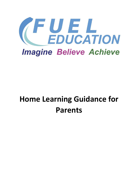

# **Home Learning Guidance for Parents**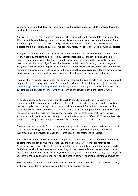During any period of lockdown or where pupils need to isolate, pupils will still be provided with their full day of education.

Pupils at FUEL will be sent a learning timetable which aims to help them complete their school day. All work for this term is being placed on Student Zone which is a shared document library on Share Point and is part of the Office 365 school platform. It is important that every day they include some exercise and time to relax. Below are some generally helpful websites that will help with all subjects.

As pupils follow their timetable, they can look at the section in this booklet from that subject and follow what they are being guided to do by their teachers. It is also indicated what would be expected to be learnt within that half term to help you know what should be covered in normal circumstances. For some subject's work has been set on Microsoft Teams e.g booklets, projects, assignments etc and some subjects have Teams Classrooms where they are setting regular work and hosting a new schedule of live lessons. For other subjects they have given ideas for projects, reading, things to make and watch with links to helpful websites. Please select what best suits you.

There will be enrichment projects sent out as well. These can be used to help enrich pupils learning if they would like to engage with them. Please send in evidence of completing the projects to either parenthelp@fueleducation.org.uk or studenthelp@fueleducation.org.uk as they will be looking for pupils that have engaged the most with their learning and rewarding this engagement while at home.

All pupils must log on to their emails daily through Office 365 to enable them to access the resources, updates from teachers and receive the invites to their class team and live lessons. To join the team pupils, need to accept the invite and click on the team information in the email. At this point they will be able to download a Team App to use on either their phone or laptop. Once a pupil has joined a team, they will then receive the invites for the live lessons for that team. The live lessons can be joined from either the app or the online Teams App in Office 365. When the lesson is due to start, they just select the join button on their calendar or in the class Team.

Class teachers will be on the Teams programme every day to respond to questions from pupils sent using the Post Message board for the class or the direct messages sent to the teacher. Wider support can also be provided through the Teams class site for their specific subject.

Below we have added two main sections, compulsory learning, this is the content your child needs to be completing broken down by the areas they are studying with us, if they are referred for Construction for example they will need to complete the work in this section, if they are referred for GCSE/Functional Skills and a vocational area, they will need to complete all relevant areas. You will receive a timetable which is personalised, so you are fully aware of what courses they are doing with us. There is then a go the extra mile section. This section contains additional learning your child can do.

Please also note that if your child is only referred to us for a vocational area, they can complete any of the work provided for other areas and there will be rewards for this.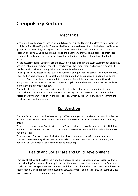## **Compulsory Section**

## **Mechanics**

Mechanics has a Teams class which all pupils have been invited to join, the class contains work for both Level 1 and Level 2 pupils. There will be live lessons each week for both the Monday/Tuesday group and the Thursday/Friday group. All the Power Points for Level 1 are on Student Zone – Mechanics – Level 1. Once pupils have joined the class team, they will have access to their class notebook to make notes on the Power Point for that unit or the Power Point taught in the live lesson.

All the assessments for each unit are then issued to pupils through the team assignments, once they are completed pupils submit them, their teachers will then mark them and provide feedback, if needed work is returned to pupils for improvements to be made.

Level 2 pupils have access to the Level 2 PowerPoints and questions to complete on both the class Team and on Student Zone. The questions are completed on class notebook and marked by the teachers. Once notes have been completed, pupils are issued the mini assessment through assignments on Teams, once they are completed pupils submit their work, their teachers will then mark them and provide feedback.

Pupils should use the chat function in Teams to ask for help during the completing of work. The mechanics section on Student Zone contains a range of YouTube video clips that have been voiced over by the tutors to show the practical skills which pupils can follow to start learning the practical aspect of their course.

## **Construction**

The new Construction class has been set up on Teams and you will receive an invite to join the live lessons. There will be a live lesson for both the Monday/Tuesday group and the Thursday/Friday group.

To access all resources for Construction, go to Teams and select class files and select the Unit Power Point you have been told to use or go to Student Zone – Construction and then select the unit you need to access.

To support our Construction pupils further they have been added to SAM Learning and sent construction related English and Maths tasks to both develop their literacy and numeracy and develop skills used within Construction such as measuring.

## **Health and Social Care and Child Development**

They are all set up on the class team and have access to the class notebook. Live lessons will take place Monday/Tuesday and Thursday/Friday. All their assignments have been set using Teams and pupils just need to type into their document and then click submit when they have finished. Work is set individually and has submission deadlines set. Assignments completed through Teams or Class Notebooks can be remotely supervised by the teacher.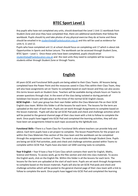## **BTEC Sport Level 1**

Any pupils who have not completed any units, should download the Level 1 Unit 11 workbook from Student Zone and once they have completed that, there are additional worksheets that follow the workbook. Pupils should try and take photos of any physical exercise they do at home and these should be emailed in to studenthelp@fueleducation.org.uk and this will be used as evidence for units 4, 11 and 12.

Pupils who have completed unit 11 at school should focus on completing unit 17 which is about Job Opportunities in Sports and Active Leisure. The workbook can be accessed through Student Zone, BTEC Sport – Level 1. Once these units have been completed, pupils should email [studenthelp@fueleducation.org.uk](mailto:studenthelp@fueleducation.org.uk) and the next units they need to complete will be issued to students either through Student Zone or through Teams.

## **English**

All years GCSE and Functional Skills pupils are being added to their Class Teams. All lessons being completed have the Power Point and the resources saved in Class Files within their Class Team, they will also have assignments set on Teams to complete based on each lesson and they can also access this terms lesson work on Student Zone. Teachers will be available during schools hours on Teams to answer questions through chat. In the event of the class being isolated or during periods of lockdown live lessons will take place at the times of the normal GCSE English classes. **GCSE English –** Each year group has their own folder within the Class Materials File on their GCSE English class team. Within this folder is all the lessons for each term. The lessons for the term are uploaded at the start of each term. Pupils are set work through Assignments to complete based on the lesson materials. Pupils will also be set GCSE Pod pods and check and challenge activities which will be posted to the general channel page of their class team with a link to follow to complete the work. Once pupils have logged into GCSE Pod and completed the learning activities, they will also have been set assignments linked to each topic accessed by the lightbulb icon.

**Functional Skills –**There is a Team Class for Functional Skills where teachers can provide help and advice. Each term pupils have a set project to complete. The lesson PowerPoints for the project are within the Class Materials Files section of the class team and the workbook can be completed through the assignments section of Teams. The work is also available through Student Zone. Pupils are being set GCSE Pod activities, pods and check and challenge activities posted within Teams to complete within GCSE Pod. Pupils have also been set SAM Learning tasks to complete**.** 

**Year 9 English –** Year 9 have a Year 9 Core Class which contains their work for English, Maths, Science and History. To access work, go to the files section and click into class materials. To access the English work, click on the English file. Within this folder is all the lessons for each term. The lessons for the term are uploaded at the start of each term. Pupils are set work through Assignments to complete based on the lesson materials. Pupils will also be set GCSE Pod pods and check and challenge activities which will be posted to the general channel page of their class team with a link to follow to complete the work. Once pupils have logged into GCSE Pod and completed the learning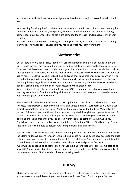activities, they will also have been set assignments linked to each topic accessed by the lightbulb icon.

Sam Learning for all pupils – Tasks have been set to support you in the topics you are covering this term and to help you develop your Spelling, Grammar and Punctuation skills and your reading comprehension skills. Ensure that all tasks are completed to at least 70% (orange/green) on Sam Learning.

All pupils should complete two mornings of reading each week, you can make your own reading diary to record what books/newspapers you read and what you learn from them.

## **Mathematics**

**GCSE:** There is now a Teams class set up for GCSE Mathematics, pupils will be invited to join the class. Pupils can post messages to their teacher and complete work assigned to them each week. To access their lesson resources, pupils should go to Files then click on class materials then click on their year group. Each terms lessons are then available to access and the linked work is available on assignments. Pupils will also be set GCSE Pod pods and check and challenge activities which will be posted to the general channel page of their class team with a link to follow to complete the work. Once pupils have logged into GCSE Pod and completed the learning activities, they will also have been set assignments linked to each topic accessed by the lightbulb icon.

Sam Learning tasks have been set suitable to your GCSE content and to enable you to continue working towards your functional skills qualifications. Ensure that all tasks are completed to at least 70% (orange/green) on Sam Learning.

**Functional Skills:** There is now a Teams class set up for Functional Skills. This class will enable pupils to access support from a teacher through Posts and Direct messages. Each term pupils have a set project to complete. The lesson PowerPoints for the project are within the Class Materials Files section of the class team and the workbook can be completed through the assignments section of Teams. The work is also available through Student Zone. Pupils are being set GCSE Pod activities, pods and check and challenge activities posted within Teams to complete within GCSE Pod. Pupils have been set a range of Maths tasks suitable for Functional Skills on SAM Learning. Ensure that all tasks are completed to at least 70% (orange/green) on Sam Learning.

**Year 9:** There is a Teams class set up for our Year 9 pupils, go to files and class materials then select the Maths folder. All lessons for each term are being placed here and pupils have access to the class notebook and assignments to complete the work from each lesson. Once work has been finished it should be submitted to enable the teachers to mark the work and provide feedback. Pupils will also continue to be set tasks on SAM Learning. Ensure that all tasks are completed to at least 70% (orange/green) on Sam Learning. Pupils can also login to their BKSB, there is a variety of tasks to complete on BKSB which is tailored to working levels.

## **History**

**GCSE:** The history class team is on Teams and all pupils have been invited to the Team. Each year group are completing different topics over the academic year, Year 10 will complete Germany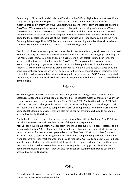Democracy to Dictatorship and Conflict and Tension in the Gulf and Afghanistan whilst year 11 are completing Migration and Empire. To access lessons, pupils should go to files and select class materials then select their year group. Each term, the lessons for that term are uploaded onto the Class Team. Work to complete from each lesson is issued to pupils using assignments on Teams, once completed pupils should submit their work, teachers will then mark the work and provide feedback. Pupils will also be set GCSE Pod pods and check and challenge activities which will be posted to the general channel page of their class team with a link to follow to complete the work. Once pupils have logged into GCSE Pod and completed the learning activities, they will also have been set assignments linked to each topic accessed by the lightbulb icon.

.

**Year 9**: Pupils have three key topics over the academic year; World War 1, World War 2 and the Cold War and a History of Crime and Punishment in Great Britain. To access lessons, pupils should go to the Year 9 Class Team, select files and select class materials then select History. Each term, the lessons for that term are uploaded onto the Class Team. Work to complete from each lesson is issued to pupils using assignments on Teams, once completed pupils should submit their work, teachers will then mark the work and provide feedback. Pupils will also be set GCSE Pod pods and check and challenge activities which will be posted to the general channel page of their class team with a link to follow to complete the work. Once pupils have logged into GCSE Pod and completed the learning activities, they will also have been set assignments linked to each topic accessed by the lightbulb icon.

## **Science**

**GCSE:** Biology has been set as a class on Teams and you will be having a live lesson each week. Lesson resources will be on your Team page, go to files, select class materials then select your year group, lesson resources are also on Student Zone, Biology GCSE. Pupils will also be set GCSE Pod pods and check and challenge activities which will be posted to the general channel page of their class team with a link to follow to complete the work. Once pupils have logged into GCSE Pod and completed the learning activities, they will also have been set assignments linked to each topic accessed by the lightbulb icon.

Pupils should also access the online lesson resources from Oak national Academy, Year 10 Science for additional resources and an online version of the practical experiments.

**Year 9:** Year 9 pupils have their own class team for all their core subjects. To access lessons, pupils should go to the Year 9 Class Team, select files, and select class materials then select History. Each term, the lessons for that term are uploaded onto the Class Team. Work to complete from each lesson is issued to pupils using assignments on Teams, once completed pupils should submit their work, teachers will then mark the work and provide feedback. Pupils will also be set GCSE Pod pods and check and challenge activities which will be posted to the general channel page of their class team with a link to follow to complete the work. Once pupils have logged into GCSE Pod and completed the learning activities, they will also have been set assignments linked to each topic accessed by the lightbulb icon.

## **PSHE**

All pupils normally complete weekly 1-hour sessions within school. All the 1-hour lessons have been placed on Student Zone in the PSHE folder.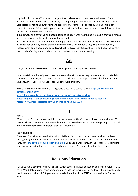Pupils should choose KS3 to access the year 8 and 9 lessons and KS4 to access the year 10 and 11 lessons. This half term we would normally be completing 6 sessions from the Relationships folder. Each lesson contains a Power Point and associated worksheets or debate questions. Pupils can complete these activities on the paper provided in their folders or can produce a word document to record their answers electronically.

If pupils want an alternative and need additional support with health and wellbeing, they can instead access the lessons in the health and wellbeing folder.

All pupils have been emailed a home learning journal template. FUEL encourages all pupils to fill this is in each day and they create their own version of this to continue using. This journal not only records what pupils have done each day, what they have learnt, how they feel and how the current situation is affecting them, it allows pupils to reflect on their home learning.

## **Art**

The year 9 pupils have started a Graffiti Art Project and a Sculpture Art Project.

Unfortunately, neither of projects are very accessible at home, as they require specialist materials. Therefore, a new project has been sent out to pupils and a new Pop Art project has been added to Student Zone – Creative Activities for Pupils to work through.

Please find the websites below that might help you get creative as well. [https://how-to-draw](https://how-to-draw-cartoons-online.com/)[cartoons-online.com/](https://how-to-draw-cartoons-online.com/)

[http://drawingacademy.com/free-drawing-lessons-for-artists/drawing](http://drawingacademy.com/free-drawing-lessons-for-artists/drawing-videos-bing.php/?utm_source=bing&utm_medium=cpc&utm_campaign=dahowtodraw)[videosbing.php/?utm\\_source=bing&utm\\_medium=cpc&utm\\_campaign=dahowtodraw](http://drawingacademy.com/free-drawing-lessons-for-artists/drawing-videos-bing.php/?utm_source=bing&utm_medium=cpc&utm_campaign=dahowtodraw) <https://www.thesprucecrafts.com/your-first-painting-4159810>

## **IT**

#### **Year 9**

Work on the IT section mainly and then mix with some of the Computing if you want a change. You have work set on Student Zone to enable you to complete basic IT tasks including using Word, Excel and Power Point to create different types of Documents

#### **Functional Skills:**

There are IT activities within the Functional Skills project for each term, these can be completed through assignments on Teams, of offline and then work returned as an attachment and emailed through to [studenthelp@fueleducation.org.uk.](mailto:studenthelp@fueleducation.org.uk) You should work through the tasks as you complete your project workbook which is issued each term through Assignments in the class Team.

## **Religious Education**

FUEL also run a termly project with pupils which covers Religious Education and British Values. FUEL has a World Religion project on Student Zone, pupils can download this and work their way through the different activities. RE topics are included within the 1 hour PSHE lessons available You can also ……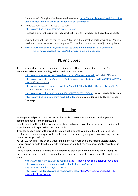- Create an A-Z of Religious Studies using the website: [https://www.bbc.co.uk/teach/classclips](https://www.bbc.co.uk/teach/class-clips-video/religious-studies-ks3-az-of-religion-and-beliefs/znt647h)[video/religious-studies-ks3-az-of-religion-and-beliefs/znt647h](https://www.bbc.co.uk/teach/class-clips-video/religious-studies-ks3-az-of-religion-and-beliefs/znt647h)
- Complete daily lessons and key topics here: <https://www.bbc.co.uk/bitesize/subjects/zh3rkqt>
- Research a different religion to find out what their faith is all about and how they celebrate it.
- Using a holy book, such as your founders' day Bible, try journaling parts of scripture. You can do this in a notebook or on separate paper. You can find some examples of journaling here:
- <https://www.lifeway.com/en/articles/how-to-start-bible-journaling-in-six-easy-steps> [http://www.bbc.co.uk/learning/subjects/religious\\_studies.shtml](http://www.bbc.co.uk/learning/subjects/religious_studies.shtml)

## **PE and Sport**

It is really important that we keep ourselves fit and well. Here are some ideas from the PE. Remember to be active every day, either a walk, run, bike ride etc.

- <https://www.nhs.uk/live-well/exercise/couch-to-5k-week-by-week/> [-](https://www.nhs.uk/live-well/exercise/couch-to-5k-week-by-week/) Couch to 5Km run
- [https://www.youtube.com/watch?v=KWBfQjuwp4E&list=PLui6EynyUzzFFfpiil94CUrWKVMaq](https://www.youtube.com/watch?v=KWBfQjuwp4E&list=PLui6Eyny-UzzFFfpiil94CUrWKVMaqmkm) [mkm](https://www.youtube.com/watch?v=KWBfQjuwp4E&list=PLui6Eyny-UzzFFfpiil94CUrWKVMaqmkm) – 30 days of Yoga
- [https://drive.google.com/open?id=1PKGoPibmRh9dSHar9LctQXbF0UV\\_MxU-Lc1sQOUp6vI](https://drive.google.com/open?id=1PKGoPibmRh9dSHar9LctQXbF0UV_MxU-Lc1sQOUp6vI) [–](https://drive.google.com/open?id=1PKGoPibmRh9dSHar9LctQXbF0UV_MxU-Lc1sQOUp6vI) Circuit Fitness Session Plan
- <https://www.youtube.com/channel/UCAxW1XT0iEJo0TYlRfn6rYQ> Joe Wicks Daily PE Lessons
- <https://www.bbc.co.uk/programmes/b006m8dq> [S](https://www.bbc.co.uk/programmes/b006m8dq)trictly Come Dancing Big Night in Dance Challenge

## **Reading**

Reading is a vital part of the school curriculum and in these times, it is important that your child continues to read as much as possible.

I would therefore like to tell you about some free reading resources that you can access online and hope that you will explore these with your child.

If you can support them with this while they are at home with you, then this will help keep their reading development going, as well as help them to relax and enjoy a good book. You may want to take a look for yourself too.

At FUEL we have Big Read twice a week in the mornings where pupils are reading Classic Literature texts as graphic novels. It will really help their reading ability if you could incorporate this into your routine.

I hope that you find this information supportive and that it enables your child to keep reading. At these unusual times it can be very good for our mental well-being to escape to another world for a while.

<http://www.renlearn.co.uk/keep-reading> [h](http://www.renlearn.co.uk/keep-reading)ttps://readon.myon.co.uk/library/browse.html https://www.obooko.com/category/free-books-for-teens?page=3

https://stories.audible.com/start-listen

<https://www.worldofdavidwalliams.com/elevenses/> [h](https://www.worldofdavidwalliams.com/elevenses/)ttps://www.amazon.co.uk/kindledbs/hz/bookshelf/prime/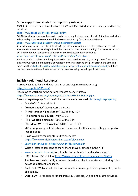#### **Other support materials for compulsory subjects**

BBC bitesize has the content for all subjects at KS3 and KS4 this includes videos and quizzes that may be helpful.

#### <https://www.bbc.co.uk/bitesize/levels/z4kw2hv>

Oak National Academy have lessons for each year group between years 7 and 10, the lessons include videos and quizzes. We recommend the lessons particularly for Maths and Science. <https://www.thenational.academy/online-classroom#subjects>

Seneca learning (please see the link below) is great for any topic and it is free, it has videos and information presented for the pupil and then quizzes to check understanding. You can select KS3 or GCSE content under the courses tab to see all the subjects that are available.

<https://app.senecalearning.com/dashboard/courses/add?Price=Free>

Anytime pupils complete one the quizzes to demonstrate their learning through these free online platforms we recommend taking a photograph of the quiz results or a print-screen and emailing them to either studenthelp@fueleducation.org.uk or parenthelp@fueleducation.org.uk and then teachers can store these files to evidence the progress being made by pupils at home.

#### **English – Additional Resources**

A great website to help with your grammar and inspire creative writing <http://www.pobble365.com/>

Free plays to watch from the national theatre every Thursday

<https://www.youtube.com/channel/UCUDq1XzCY0NIOYVJvEMQjqw>

Free Shakespeare plays from the Globe theatre every two weeks<https://globeplayer.tv/>

- **'Hamlet'** (2018), April 6-19
- **'Romeo & Juliet'** (2009), April 20-May 3
- **'A Midsummer Night's Dream'** (2013), May 4-17
- **'The Winter's Tale'** (2018), May 18-31
- **'The Two Noble Kinsmen'** (2018), June 1-14
- **'The Merry Wives of Windsor'** (2019), June 15-28
- 200 word power point (attached on the website) with ideas for writing prompts to inspire pupils
- David Walliams reading stories live every day <https://www.worldofdavidwalliams.com/elevenses/>
- [Learn sign language https://www.british-sign.co.uk/](https://www.british-sign.co.uk/)
- Write a letter to someone to thank them, maybe someone in the NHS.
- [www.literacytrust.org.uk](http://www.literacytrust.org.uk/) New family zone with video and audio resources.
- BBC Bitesize KS3 and KS4**:** <https://www.bbc.co.uk/bitesize/subjects/z3kw2hv>
- **Audible**  You can instantly stream an incredible collection of stories, including titles across six different languages.
- **Booktrust -** Website with book recommendations, competitions, quizzes, storybooks and games.
- **Oxford Owl -** Free ebooks for children 3-11 years old, English and Maths activities.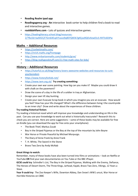- **Reading Realm ipad app**
- **Readingagency.org - An** interactive book sorter to help children find a book to read and interactive games.
- **roalddahlfans.com -** Lots of quizzes and interactive games.
- [https://leadingliteracy.school.blog/resources-](https://leadingliteracy.school.blog/resources-2/?fbclid=IwAR2CjF7Gm64EvphYvavo9qBSYQXElk7gKEjza9QOvXew01cS-RXTlsS03Pw)[2/?fbclid=IwAR2CjF7Gm64EvphYvavo9qBSYQXElk7gKEjza9QOvXew01cS-RXTlsS03Pw](https://leadingliteracy.school.blog/resources-2/?fbclid=IwAR2CjF7Gm64EvphYvavo9qBSYQXElk7gKEjza9QOvXew01cS-RXTlsS03Pw)

#### **Maths – Additional Resources**

- <https://corbettmaths.com/>
- <https://nrich.maths.org/frontpage>
- <http://www.mrbartonmaths.com/students/gcse/>
- <https://blog.reallygoodstuff.com/11-free-math-sites-for-kids/>
- •

#### **History – Additional Resources**

- [https://tutorful.co.uk/blog/history-lovers-awesome-websites-and-resources-to-cure](https://tutorful.co.uk/blog/history-lovers-awesome-websites-and-resources-to-cure-your-boredom)[yourboredom](https://tutorful.co.uk/blog/history-lovers-awesome-websites-and-resources-to-cure-your-boredom)
- <https://www.historyforkids.net/>
- <https://www.iwm.org.uk/> **Try creating something:**
- Create your own war scene painting. How big can you make it? Maybe you could draw it with chalk on the pavement?
- Draw the scene of a day in the life of a soldier in Iraq or Afghanistan.
- Design your own VE day bunting.
- Create your own Evacuee Scrap book in which you imagine you are an evacuee. How would you feel? How has your life changed? What's the difference between living I the countryside to an inner city? Draw and write about the experiences of these children.

#### **Try reading historical fiction:**

Try reading a historical novel which will improve your knowledge and understanding on life in the past. Can you use your knowledge to work out what is historically inaccurate? Research this to check you are correct. Here are some suggestions – some of these books may be available for free on Kindle (you can download the app for free onto your smartphone):

- The Book Thief, Markus Zusak
- Boy in the Striped Pyjamas or the Boy at the top of the mountain by John Boyne
- War Horse or Private Peaceful by Michael Morpurgo.
- The Diary of Anne Frank by Anne Frank
- T. H. White, The Sword in the Stone
- Bravo Two Zero by Andy McNab

#### **Great things to watch:**

Remember, many of these books have also been turned into films or animations – look on Netflix or YouTube **OR** find your own documentaries on You Tube or the BBC iPlayer.

**GCSE could try**: Schindler's List, The Boy in the Striped Pyjamas, Walking with the Enemy, Defiance, The Heroes of Desert Storm, The Three Kings, Jarhead, Kajaki, Bravo Two Zero, Vikings, 12 Years a Slave.

**Year 9 could try:** The Zoo Keeper's Wife, Downton Abbey, Dan Snow's WW1 uncut, War Horse or Horrible Histories on CBBC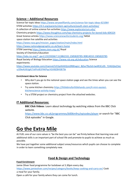#### **Science – Additional Resources**

Science fair topic ideas<https://www.verywellfamily.com/science-fair-topic-ideas-621064> STEM activities<https://4-h.org/parents/stem-agriculture/youth-stem-activities/> A collection of online science fun activities<https://www.exploratorium.edu/> Chemistry projects<https://www.thoughtco.com/top-chemistry-projects-for-bored-kids-604324> Great Science articles<https://www.sciencenewsforstudents.org/> [N](https://www.sciencenewsforstudents.org/)ASA space station live satellite and activities [https://www.nasa.gov/mission\\_pages/station/main/index.html](https://www.nasa.gov/mission_pages/station/main/index.html) <https://www.nationalgeographic.co.uk/learn-home> STEM Learning<https://www.stem.org.uk/> Royal Society of Chemistry Education [https://edu.rsc.org/?\\_ga=2.231592667.513862331.1585820785-90814010.1585820785](https://edu.rsc.org/?_ga=2.231592667.513862331.1585820785-90814010.1585820785) Royal Society of Biology Education<https://www.rsb.org.uk/education> Science experiments:

[https://www.youtube.com/channel/UCGpIXAXQUc0RBhxgnJ\\_BjEw?fbclid=IwAR3Cc0S\\_724GQteZ3eL](https://www.youtube.com/channel/UCGpIXAXQUc0RBhxgnJ_BjEw?fbclid=IwAR3Cc0S_724GQteZ3-eLuJ39eAU6UgKJ7a9Yst81PAKPqcVGXI8Z8HSB7Sk) [uJ39eAU6UgKJ7a9Yst81PAKPqcVGXI8Z8HSB7Sk](https://www.youtube.com/channel/UCGpIXAXQUc0RBhxgnJ_BjEw?fbclid=IwAR3Cc0S_724GQteZ3-eLuJ39eAU6UgKJ7a9Yst81PAKPqcVGXI8Z8HSB7Sk)

#### **Enrichment ideas for Science**

- Why don't you go to the national space station page and see the times when you can see the space station.
- Try some kitchen chemistry [https://littlebinsforlittlehands.com/4-mini-easiest](https://littlebinsforlittlehands.com/4-mini-easiest-kitchen-science-activity-trays/)[kitchenscience-activity-trays/](https://littlebinsforlittlehands.com/4-mini-easiest-kitchen-science-activity-trays/)
- Try a STEM project or chemistry project from the attached websites.

#### **IT Additional Resources:**

**BBC Click Videos**: Learn about technology by watching videos from the BBC Click website.

<https://www.bbc.co.uk/programmes/b006m9ry/episodes/player> [o](https://www.bbc.co.uk/programmes/b006m9ry/episodes/player)r search for "BBC Click episodes" in Google.

## **Go the Extra Mile**

At FUEL one of our core values is "be the best you can be" we firmly believe that learning new and additional skills is an important part of school life and promote to pupils to achieve as much as possible.

We have put together some additional subject areas/resources which pupils can choose to complete in order to learn something completely new.

#### **Food & Design and Technology**

#### **Food Enrichment**

Jamie Oliver food programme for lockdown at 5.30pm every day. <https://www.jamieoliver.com/recipes/category/books/keep-cooking-and-carry-on/> Cook a meal for your family.

Open a café for your family where they can come for lunch.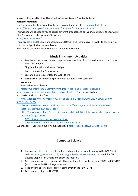A new cooking workbook will be added to Student Zone – Creative Activities.

#### **Resistant materials**

Use the design sheets provided by the technology department. [Technologystudent.com](http://technologystudent.com/) <https://www.jamesdysonfoundation.co.uk/resources/challenge-cards.html>

This website will challenge you to design different products and put your creativity to the test. Just click "download challenge cards" to get started.

#### <http://www.mr-dt.com/>

There are tasks and theory work based around Design and Technology. This website can help you with the design challenges from Dyson.

Help around the home repair something or build a new item

#### **Music Enrichment Activities**

- Practise an instrument or learn to play a new one (lots of you tube videos on how to play most instruments).
- Sing (anything that makes you feel good).
- Listen to music that's new to you.
- Learn to be a producer (see the website link)
- Write a song or compose a piece of music. Share it with someone.

#### **Websites**

Free on line music lessons

[https://makingmusicfun.net/htm/mmf\\_free\\_video\\_music\\_lesson\\_index.php](https://makingmusicfun.net/htm/mmf_free_video_music_lesson_index.php)

<http://www.bbc.co.uk/learning/subjects/music.shtml>Tone savvy which sets

and marks music tasks for free

 [https://tonesavvy.com/?fbclid=IwAR0Y\\_1Snd6F4PKO\\_ubCg99wmGURQPJOLw6zj0Lr0hf-](https://tonesavvy.com/?fbclid=IwAR0Y_1Snd6F4PKO_ubCg99wmGURQPJOLw6zj0Lr0hf-9fO2IYggPosGuK3g)[9fO2IYggPosGuK3g](https://tonesavvy.com/?fbclid=IwAR0Y_1Snd6F4PKO_ubCg99wmGURQPJOLw6zj0Lr0hf-9fO2IYggPosGuK3g)

[Ableton Live](https://apps.musedlab.org/groovepizza/?museid=HJfZddP8L&) [–](https://apps.musedlab.org/groovepizza/?museid=HJfZddP8L&) [learn how to produce music](https://apps.musedlab.org/groovepizza/?museid=HJfZddP8L&) [https://learningmusic.ableton.com](https://learningmusic.ableton.com/) [Groove](https://apps.musedlab.org/groovepizza/?museid=HJfZddP8L&)  [Pizza -](https://apps.musedlab.org/groovepizza/?museid=HJfZddP8L&) [Create your own drum loops](https://apps.musedlab.org/groovepizza/?museid=HJfZddP8L&)

<https://apps.musedlab.org/groovepizza/?museid=HJfZddP8L&> [https://musiclab.chromeexperim](https://musiclab.chromeexperiments.com/Song-Maker/)  [ents.com/Song-Maker/](https://musiclab.chromeexperiments.com/Song-Maker/)

 $NTN - A$  $NTN - A$  game to learn notes of the stave <https://www.teachingfiles.co.uk/namethatnote2.htm>

Super Looper – Create an 80s style synthpop loop [http://superlooper.universlabs.co.uk](http://superlooper.universlabs.co.uk/)

#### **Computer Science**

#### **IT:**

- 1. Learn about different types of graphics and graphics software by going to the BBC Bitesize website:<https://www.bbc.co.uk/bitesize/guides/zv2v4wx/revision/1> [o](https://www.bbc.co.uk/bitesize/guides/zv2v4wx/revision/1)r search for "BBC Bitesize Graphics" in Google and select the first link.
- 2. Carry out more research independently about the difference between VECTOR and BITMAP (also known as RASTER) image types and
- 3. Read and make revision cards by reading through the REVISE TAB.
- 4. Test yourself using the TEST TAB.